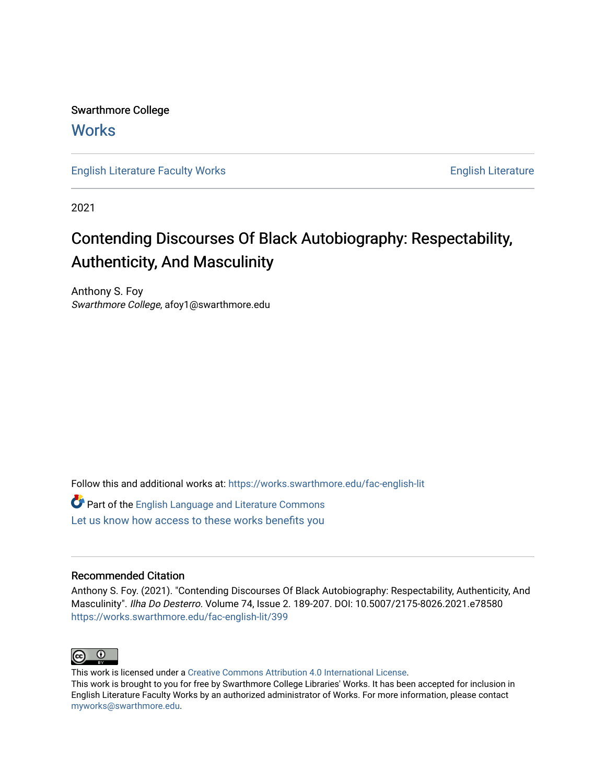Swarthmore College **Works** 

[English Literature Faculty Works](https://works.swarthmore.edu/fac-english-lit) **English Literature** English Literature

2021

# Contending Discourses Of Black Autobiography: Respectability, Authenticity, And Masculinity

Anthony S. Foy Swarthmore College, afoy1@swarthmore.edu

Follow this and additional works at: [https://works.swarthmore.edu/fac-english-lit](https://works.swarthmore.edu/fac-english-lit?utm_source=works.swarthmore.edu%2Ffac-english-lit%2F399&utm_medium=PDF&utm_campaign=PDFCoverPages)

Part of the [English Language and Literature Commons](http://network.bepress.com/hgg/discipline/455?utm_source=works.swarthmore.edu%2Ffac-english-lit%2F399&utm_medium=PDF&utm_campaign=PDFCoverPages) [Let us know how access to these works benefits you](https://forms.gle/4MB8mE2GywC5965J8) 

# Recommended Citation

Anthony S. Foy. (2021). "Contending Discourses Of Black Autobiography: Respectability, Authenticity, And Masculinity". Ilha Do Desterro. Volume 74, Issue 2. 189-207. DOI: 10.5007/2175-8026.2021.e78580 <https://works.swarthmore.edu/fac-english-lit/399>



This work is licensed under a [Creative Commons Attribution 4.0 International License](https://creativecommons.org/licenses/by/4.0/).

This work is brought to you for free by Swarthmore College Libraries' Works. It has been accepted for inclusion in English Literature Faculty Works by an authorized administrator of Works. For more information, please contact [myworks@swarthmore.edu.](mailto:myworks@swarthmore.edu)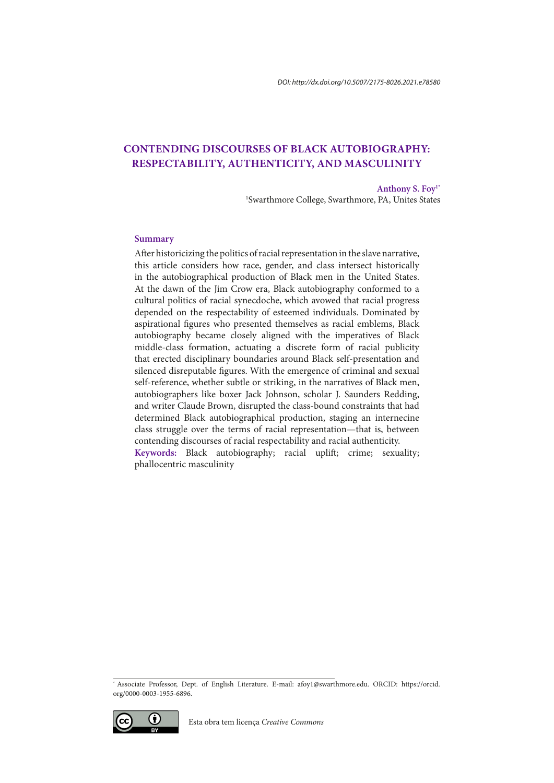# **CONTENDING DISCOURSES OF BLACK AUTOBIOGRAPHY: RESPECTABILITY, AUTHENTICITY, AND MASCULINITY**

**Anthony S. Foy1\*** 1 Swarthmore College, Swarthmore, PA, Unites States

#### **Summary**

After historicizing the politics of racial representation in the slave narrative, this article considers how race, gender, and class intersect historically in the autobiographical production of Black men in the United States. At the dawn of the Jim Crow era, Black autobiography conformed to a cultural politics of racial synecdoche, which avowed that racial progress depended on the respectability of esteemed individuals. Dominated by aspirational figures who presented themselves as racial emblems, Black autobiography became closely aligned with the imperatives of Black middle-class formation, actuating a discrete form of racial publicity that erected disciplinary boundaries around Black self-presentation and silenced disreputable figures. With the emergence of criminal and sexual self-reference, whether subtle or striking, in the narratives of Black men, autobiographers like boxer Jack Johnson, scholar J. Saunders Redding, and writer Claude Brown, disrupted the class-bound constraints that had determined Black autobiographical production, staging an internecine class struggle over the terms of racial representation—that is, between contending discourses of racial respectability and racial authenticity. **Keywords:** Black autobiography; racial uplift; crime; sexuality; phallocentric masculinity

<sup>\*</sup> Associate Professor, Dept. of English Literature. E-mail: afoy1@swarthmore.edu. ORCID: https://orcid. org/0000-0003-1955-6896.

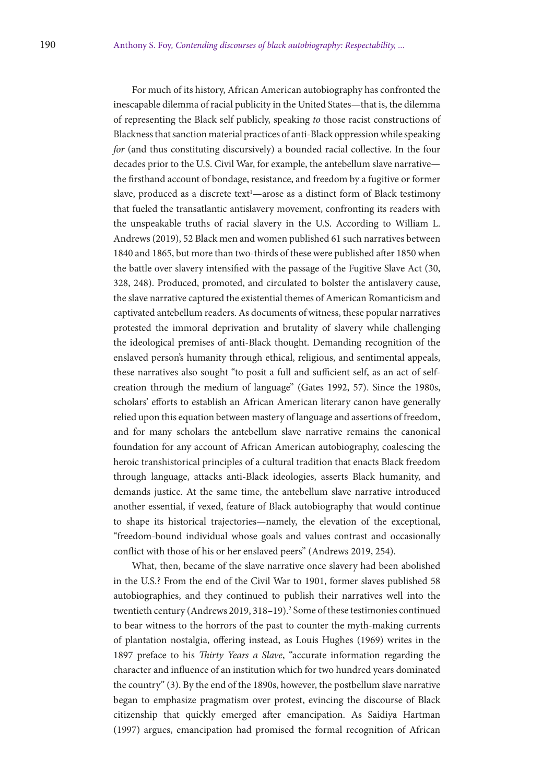For much of its history, African American autobiography has confronted the inescapable dilemma of racial publicity in the United States—that is, the dilemma of representing the Black self publicly, speaking *to* those racist constructions of Blackness that sanction material practices of anti-Black oppression while speaking *for* (and thus constituting discursively) a bounded racial collective. In the four decades prior to the U.S. Civil War, for example, the antebellum slave narrative the firsthand account of bondage, resistance, and freedom by a fugitive or former slave, produced as a discrete text<sup>1</sup>—arose as a distinct form of Black testimony that fueled the transatlantic antislavery movement, confronting its readers with the unspeakable truths of racial slavery in the U.S. According to William L. Andrews (2019), 52 Black men and women published 61 such narratives between 1840 and 1865, but more than two-thirds of these were published after 1850 when the battle over slavery intensified with the passage of the Fugitive Slave Act (30, 328, 248). Produced, promoted, and circulated to bolster the antislavery cause, the slave narrative captured the existential themes of American Romanticism and captivated antebellum readers. As documents of witness, these popular narratives protested the immoral deprivation and brutality of slavery while challenging the ideological premises of anti-Black thought. Demanding recognition of the enslaved person's humanity through ethical, religious, and sentimental appeals, these narratives also sought "to posit a full and sufficient self, as an act of selfcreation through the medium of language" (Gates 1992, 57). Since the 1980s, scholars' efforts to establish an African American literary canon have generally relied upon this equation between mastery of language and assertions of freedom, and for many scholars the antebellum slave narrative remains the canonical foundation for any account of African American autobiography, coalescing the heroic transhistorical principles of a cultural tradition that enacts Black freedom through language, attacks anti-Black ideologies, asserts Black humanity, and demands justice. At the same time, the antebellum slave narrative introduced another essential, if vexed, feature of Black autobiography that would continue to shape its historical trajectories—namely, the elevation of the exceptional, "freedom-bound individual whose goals and values contrast and occasionally conflict with those of his or her enslaved peers" (Andrews 2019, 254).

What, then, became of the slave narrative once slavery had been abolished in the U.S.? From the end of the Civil War to 1901, former slaves published 58 autobiographies, and they continued to publish their narratives well into the twentieth century (Andrews 2019, 318-19).<sup>2</sup> Some of these testimonies continued to bear witness to the horrors of the past to counter the myth-making currents of plantation nostalgia, offering instead, as Louis Hughes (1969) writes in the 1897 preface to his *Thirty Years a Slave*, "accurate information regarding the character and influence of an institution which for two hundred years dominated the country" (3). By the end of the 1890s, however, the postbellum slave narrative began to emphasize pragmatism over protest, evincing the discourse of Black citizenship that quickly emerged after emancipation. As Saidiya Hartman (1997) argues, emancipation had promised the formal recognition of African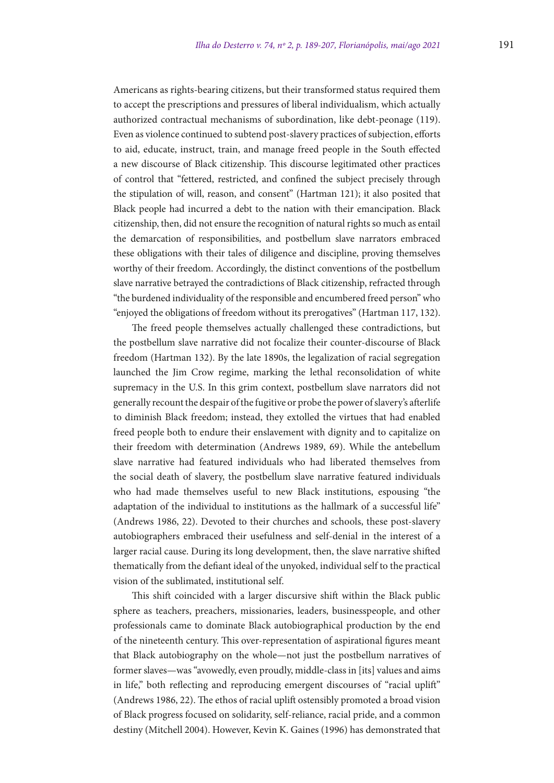Americans as rights-bearing citizens, but their transformed status required them to accept the prescriptions and pressures of liberal individualism, which actually authorized contractual mechanisms of subordination, like debt-peonage (119). Even as violence continued to subtend post-slavery practices of subjection, efforts to aid, educate, instruct, train, and manage freed people in the South effected a new discourse of Black citizenship. This discourse legitimated other practices of control that "fettered, restricted, and confined the subject precisely through the stipulation of will, reason, and consent" (Hartman 121); it also posited that Black people had incurred a debt to the nation with their emancipation. Black citizenship, then, did not ensure the recognition of natural rights so much as entail the demarcation of responsibilities, and postbellum slave narrators embraced these obligations with their tales of diligence and discipline, proving themselves worthy of their freedom. Accordingly, the distinct conventions of the postbellum slave narrative betrayed the contradictions of Black citizenship, refracted through "the burdened individuality of the responsible and encumbered freed person" who "enjoyed the obligations of freedom without its prerogatives" (Hartman 117, 132).

The freed people themselves actually challenged these contradictions, but the postbellum slave narrative did not focalize their counter-discourse of Black freedom (Hartman 132). By the late 1890s, the legalization of racial segregation launched the Jim Crow regime, marking the lethal reconsolidation of white supremacy in the U.S. In this grim context, postbellum slave narrators did not generally recount the despair of the fugitive or probe the power of slavery's afterlife to diminish Black freedom; instead, they extolled the virtues that had enabled freed people both to endure their enslavement with dignity and to capitalize on their freedom with determination (Andrews 1989, 69). While the antebellum slave narrative had featured individuals who had liberated themselves from the social death of slavery, the postbellum slave narrative featured individuals who had made themselves useful to new Black institutions, espousing "the adaptation of the individual to institutions as the hallmark of a successful life" (Andrews 1986, 22). Devoted to their churches and schools, these post-slavery autobiographers embraced their usefulness and self-denial in the interest of a larger racial cause. During its long development, then, the slave narrative shifted thematically from the defiant ideal of the unyoked, individual self to the practical vision of the sublimated, institutional self.

This shift coincided with a larger discursive shift within the Black public sphere as teachers, preachers, missionaries, leaders, businesspeople, and other professionals came to dominate Black autobiographical production by the end of the nineteenth century. This over-representation of aspirational figures meant that Black autobiography on the whole—not just the postbellum narratives of former slaves—was "avowedly, even proudly, middle-class in [its] values and aims in life," both reflecting and reproducing emergent discourses of "racial uplift" (Andrews 1986, 22). The ethos of racial uplift ostensibly promoted a broad vision of Black progress focused on solidarity, self-reliance, racial pride, and a common destiny (Mitchell 2004). However, Kevin K. Gaines (1996) has demonstrated that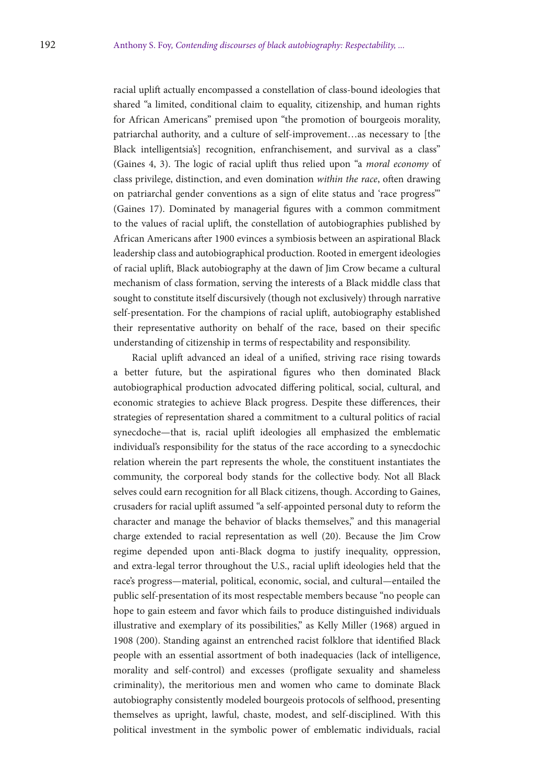racial uplift actually encompassed a constellation of class-bound ideologies that shared "a limited, conditional claim to equality, citizenship, and human rights for African Americans" premised upon "the promotion of bourgeois morality, patriarchal authority, and a culture of self-improvement…as necessary to [the Black intelligentsia's] recognition, enfranchisement, and survival as a class" (Gaines 4, 3). The logic of racial uplift thus relied upon "a *moral economy* of class privilege, distinction, and even domination *within the race*, often drawing on patriarchal gender conventions as a sign of elite status and 'race progress'" (Gaines 17). Dominated by managerial figures with a common commitment to the values of racial uplift, the constellation of autobiographies published by African Americans after 1900 evinces a symbiosis between an aspirational Black leadership class and autobiographical production. Rooted in emergent ideologies of racial uplift, Black autobiography at the dawn of Jim Crow became a cultural mechanism of class formation, serving the interests of a Black middle class that sought to constitute itself discursively (though not exclusively) through narrative self-presentation. For the champions of racial uplift, autobiography established their representative authority on behalf of the race, based on their specific understanding of citizenship in terms of respectability and responsibility.

Racial uplift advanced an ideal of a unified, striving race rising towards a better future, but the aspirational figures who then dominated Black autobiographical production advocated differing political, social, cultural, and economic strategies to achieve Black progress. Despite these differences, their strategies of representation shared a commitment to a cultural politics of racial synecdoche—that is, racial uplift ideologies all emphasized the emblematic individual's responsibility for the status of the race according to a synecdochic relation wherein the part represents the whole, the constituent instantiates the community, the corporeal body stands for the collective body. Not all Black selves could earn recognition for all Black citizens, though. According to Gaines, crusaders for racial uplift assumed "a self-appointed personal duty to reform the character and manage the behavior of blacks themselves," and this managerial charge extended to racial representation as well (20). Because the Jim Crow regime depended upon anti-Black dogma to justify inequality, oppression, and extra-legal terror throughout the U.S., racial uplift ideologies held that the race's progress—material, political, economic, social, and cultural—entailed the public self-presentation of its most respectable members because "no people can hope to gain esteem and favor which fails to produce distinguished individuals illustrative and exemplary of its possibilities," as Kelly Miller (1968) argued in 1908 (200). Standing against an entrenched racist folklore that identified Black people with an essential assortment of both inadequacies (lack of intelligence, morality and self-control) and excesses (profligate sexuality and shameless criminality), the meritorious men and women who came to dominate Black autobiography consistently modeled bourgeois protocols of selfhood, presenting themselves as upright, lawful, chaste, modest, and self-disciplined. With this political investment in the symbolic power of emblematic individuals, racial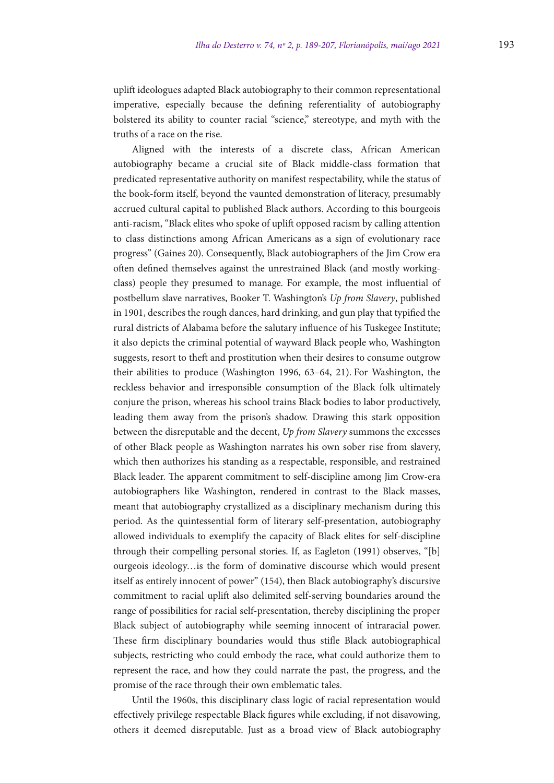uplift ideologues adapted Black autobiography to their common representational imperative, especially because the defining referentiality of autobiography bolstered its ability to counter racial "science," stereotype, and myth with the truths of a race on the rise.

Aligned with the interests of a discrete class, African American autobiography became a crucial site of Black middle-class formation that predicated representative authority on manifest respectability, while the status of the book-form itself, beyond the vaunted demonstration of literacy, presumably accrued cultural capital to published Black authors. According to this bourgeois anti-racism, "Black elites who spoke of uplift opposed racism by calling attention to class distinctions among African Americans as a sign of evolutionary race progress" (Gaines 20). Consequently, Black autobiographers of the Jim Crow era often defined themselves against the unrestrained Black (and mostly workingclass) people they presumed to manage. For example, the most influential of postbellum slave narratives, Booker T. Washington's *Up from Slavery*, published in 1901, describes the rough dances, hard drinking, and gun play that typified the rural districts of Alabama before the salutary influence of his Tuskegee Institute; it also depicts the criminal potential of wayward Black people who, Washington suggests, resort to theft and prostitution when their desires to consume outgrow their abilities to produce (Washington 1996, 63–64, 21). For Washington, the reckless behavior and irresponsible consumption of the Black folk ultimately conjure the prison, whereas his school trains Black bodies to labor productively, leading them away from the prison's shadow. Drawing this stark opposition between the disreputable and the decent, *Up from Slavery* summons the excesses of other Black people as Washington narrates his own sober rise from slavery, which then authorizes his standing as a respectable, responsible, and restrained Black leader. The apparent commitment to self-discipline among Jim Crow-era autobiographers like Washington, rendered in contrast to the Black masses, meant that autobiography crystallized as a disciplinary mechanism during this period. As the quintessential form of literary self-presentation, autobiography allowed individuals to exemplify the capacity of Black elites for self-discipline through their compelling personal stories. If, as Eagleton (1991) observes, "[b] ourgeois ideology…is the form of dominative discourse which would present itself as entirely innocent of power" (154), then Black autobiography's discursive commitment to racial uplift also delimited self-serving boundaries around the range of possibilities for racial self-presentation, thereby disciplining the proper Black subject of autobiography while seeming innocent of intraracial power. These firm disciplinary boundaries would thus stifle Black autobiographical subjects, restricting who could embody the race, what could authorize them to represent the race, and how they could narrate the past, the progress, and the promise of the race through their own emblematic tales.

Until the 1960s, this disciplinary class logic of racial representation would effectively privilege respectable Black figures while excluding, if not disavowing, others it deemed disreputable. Just as a broad view of Black autobiography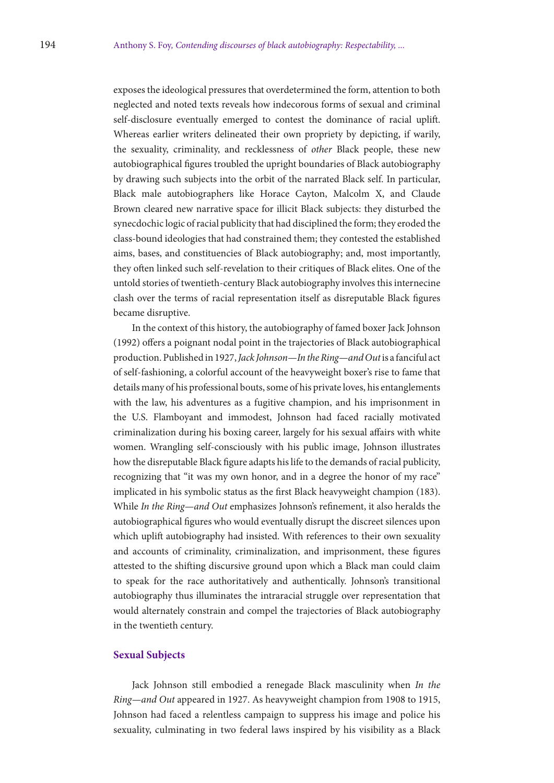exposes the ideological pressures that overdetermined the form, attention to both neglected and noted texts reveals how indecorous forms of sexual and criminal self-disclosure eventually emerged to contest the dominance of racial uplift. Whereas earlier writers delineated their own propriety by depicting, if warily, the sexuality, criminality, and recklessness of *other* Black people, these new autobiographical figures troubled the upright boundaries of Black autobiography by drawing such subjects into the orbit of the narrated Black self. In particular, Black male autobiographers like Horace Cayton, Malcolm X, and Claude Brown cleared new narrative space for illicit Black subjects: they disturbed the synecdochic logic of racial publicity that had disciplined the form; they eroded the class-bound ideologies that had constrained them; they contested the established aims, bases, and constituencies of Black autobiography; and, most importantly, they often linked such self-revelation to their critiques of Black elites. One of the untold stories of twentieth-century Black autobiography involves this internecine clash over the terms of racial representation itself as disreputable Black figures became disruptive.

In the context of this history, the autobiography of famed boxer Jack Johnson (1992) offers a poignant nodal point in the trajectories of Black autobiographical production. Published in 1927, *Jack Johnson—In the Ring—and Out* is a fanciful act of self-fashioning, a colorful account of the heavyweight boxer's rise to fame that details many of his professional bouts, some of his private loves, his entanglements with the law, his adventures as a fugitive champion, and his imprisonment in the U.S. Flamboyant and immodest, Johnson had faced racially motivated criminalization during his boxing career, largely for his sexual affairs with white women. Wrangling self-consciously with his public image, Johnson illustrates how the disreputable Black figure adapts his life to the demands of racial publicity, recognizing that "it was my own honor, and in a degree the honor of my race" implicated in his symbolic status as the first Black heavyweight champion (183). While *In the Ring—and Out* emphasizes Johnson's refinement, it also heralds the autobiographical figures who would eventually disrupt the discreet silences upon which uplift autobiography had insisted. With references to their own sexuality and accounts of criminality, criminalization, and imprisonment, these figures attested to the shifting discursive ground upon which a Black man could claim to speak for the race authoritatively and authentically. Johnson's transitional autobiography thus illuminates the intraracial struggle over representation that would alternately constrain and compel the trajectories of Black autobiography in the twentieth century.

# **Sexual Subjects**

Jack Johnson still embodied a renegade Black masculinity when *In the Ring—and Out* appeared in 1927. As heavyweight champion from 1908 to 1915, Johnson had faced a relentless campaign to suppress his image and police his sexuality, culminating in two federal laws inspired by his visibility as a Black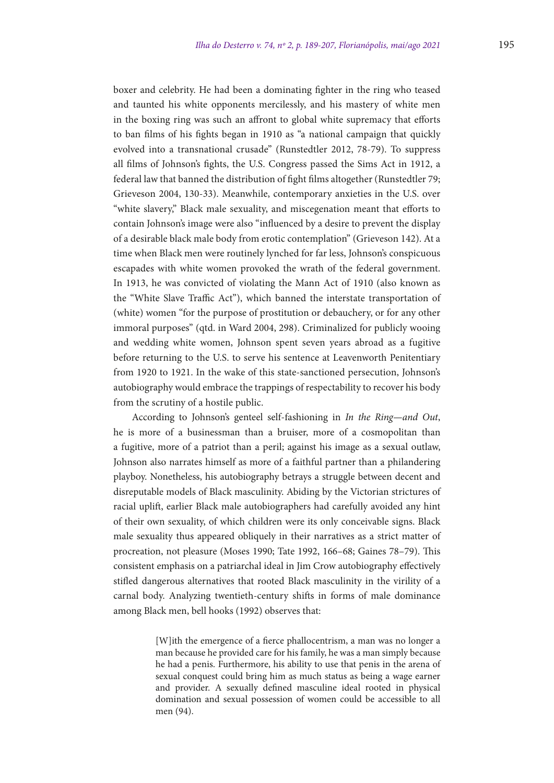boxer and celebrity. He had been a dominating fighter in the ring who teased and taunted his white opponents mercilessly, and his mastery of white men in the boxing ring was such an affront to global white supremacy that efforts to ban films of his fights began in 1910 as "a national campaign that quickly evolved into a transnational crusade" (Runstedtler 2012, 78-79). To suppress all films of Johnson's fights, the U.S. Congress passed the Sims Act in 1912, a federal law that banned the distribution of fight films altogether (Runstedtler 79; Grieveson 2004, 130-33). Meanwhile, contemporary anxieties in the U.S. over "white slavery," Black male sexuality, and miscegenation meant that efforts to contain Johnson's image were also "influenced by a desire to prevent the display of a desirable black male body from erotic contemplation" (Grieveson 142). At a time when Black men were routinely lynched for far less, Johnson's conspicuous escapades with white women provoked the wrath of the federal government. In 1913, he was convicted of violating the Mann Act of 1910 (also known as the "White Slave Traffic Act"), which banned the interstate transportation of (white) women "for the purpose of prostitution or debauchery, or for any other immoral purposes" (qtd. in Ward 2004, 298). Criminalized for publicly wooing and wedding white women, Johnson spent seven years abroad as a fugitive before returning to the U.S. to serve his sentence at Leavenworth Penitentiary from 1920 to 1921. In the wake of this state-sanctioned persecution, Johnson's autobiography would embrace the trappings of respectability to recover his body from the scrutiny of a hostile public.

According to Johnson's genteel self-fashioning in *In the Ring—and Out*, he is more of a businessman than a bruiser, more of a cosmopolitan than a fugitive, more of a patriot than a peril; against his image as a sexual outlaw, Johnson also narrates himself as more of a faithful partner than a philandering playboy. Nonetheless, his autobiography betrays a struggle between decent and disreputable models of Black masculinity. Abiding by the Victorian strictures of racial uplift, earlier Black male autobiographers had carefully avoided any hint of their own sexuality, of which children were its only conceivable signs. Black male sexuality thus appeared obliquely in their narratives as a strict matter of procreation, not pleasure (Moses 1990; Tate 1992, 166–68; Gaines 78–79). This consistent emphasis on a patriarchal ideal in Jim Crow autobiography effectively stifled dangerous alternatives that rooted Black masculinity in the virility of a carnal body. Analyzing twentieth-century shifts in forms of male dominance among Black men, bell hooks (1992) observes that:

> [W]ith the emergence of a fierce phallocentrism, a man was no longer a man because he provided care for his family, he was a man simply because he had a penis. Furthermore, his ability to use that penis in the arena of sexual conquest could bring him as much status as being a wage earner and provider. A sexually defined masculine ideal rooted in physical domination and sexual possession of women could be accessible to all men (94).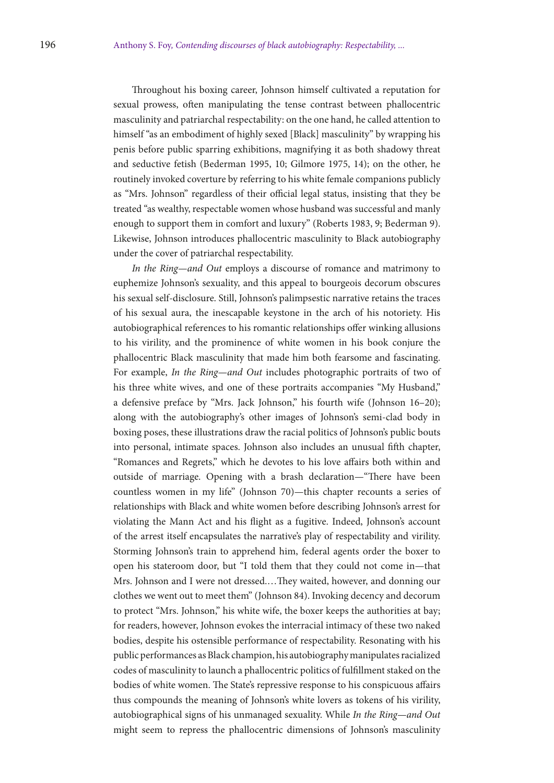Throughout his boxing career, Johnson himself cultivated a reputation for sexual prowess, often manipulating the tense contrast between phallocentric masculinity and patriarchal respectability: on the one hand, he called attention to himself "as an embodiment of highly sexed [Black] masculinity" by wrapping his penis before public sparring exhibitions, magnifying it as both shadowy threat and seductive fetish (Bederman 1995, 10; Gilmore 1975, 14); on the other, he routinely invoked coverture by referring to his white female companions publicly as "Mrs. Johnson" regardless of their official legal status, insisting that they be treated "as wealthy, respectable women whose husband was successful and manly enough to support them in comfort and luxury" (Roberts 1983, 9; Bederman 9). Likewise, Johnson introduces phallocentric masculinity to Black autobiography under the cover of patriarchal respectability.

*In the Ring—and Out* employs a discourse of romance and matrimony to euphemize Johnson's sexuality, and this appeal to bourgeois decorum obscures his sexual self-disclosure. Still, Johnson's palimpsestic narrative retains the traces of his sexual aura, the inescapable keystone in the arch of his notoriety. His autobiographical references to his romantic relationships offer winking allusions to his virility, and the prominence of white women in his book conjure the phallocentric Black masculinity that made him both fearsome and fascinating. For example, *In the Ring—and Out* includes photographic portraits of two of his three white wives, and one of these portraits accompanies "My Husband," a defensive preface by "Mrs. Jack Johnson," his fourth wife (Johnson 16–20); along with the autobiography's other images of Johnson's semi-clad body in boxing poses, these illustrations draw the racial politics of Johnson's public bouts into personal, intimate spaces. Johnson also includes an unusual fifth chapter, "Romances and Regrets," which he devotes to his love affairs both within and outside of marriage. Opening with a brash declaration—"There have been countless women in my life" (Johnson 70)—this chapter recounts a series of relationships with Black and white women before describing Johnson's arrest for violating the Mann Act and his flight as a fugitive. Indeed, Johnson's account of the arrest itself encapsulates the narrative's play of respectability and virility. Storming Johnson's train to apprehend him, federal agents order the boxer to open his stateroom door, but "I told them that they could not come in—that Mrs. Johnson and I were not dressed.…They waited, however, and donning our clothes we went out to meet them" (Johnson 84). Invoking decency and decorum to protect "Mrs. Johnson," his white wife, the boxer keeps the authorities at bay; for readers, however, Johnson evokes the interracial intimacy of these two naked bodies, despite his ostensible performance of respectability. Resonating with his public performances as Black champion, his autobiography manipulates racialized codes of masculinity to launch a phallocentric politics of fulfillment staked on the bodies of white women. The State's repressive response to his conspicuous affairs thus compounds the meaning of Johnson's white lovers as tokens of his virility, autobiographical signs of his unmanaged sexuality. While *In the Ring—and Out* might seem to repress the phallocentric dimensions of Johnson's masculinity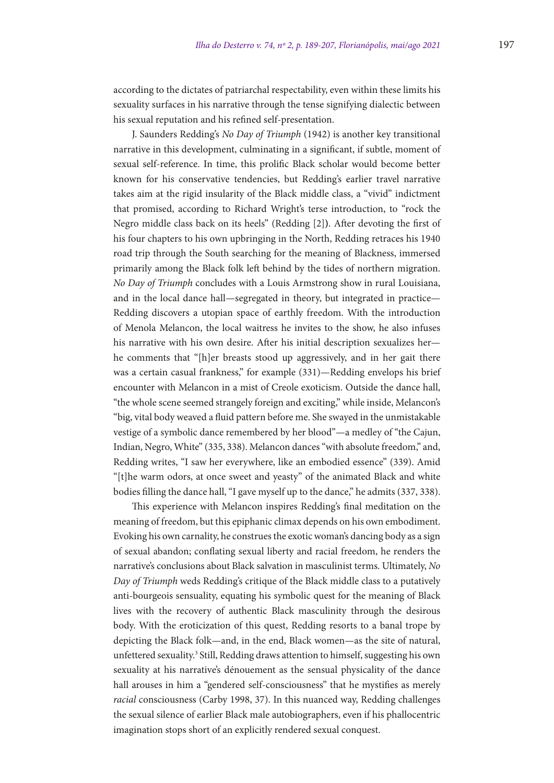according to the dictates of patriarchal respectability, even within these limits his sexuality surfaces in his narrative through the tense signifying dialectic between his sexual reputation and his refined self-presentation.

J. Saunders Redding's *No Day of Triumph* (1942) is another key transitional narrative in this development, culminating in a significant, if subtle, moment of sexual self-reference. In time, this prolific Black scholar would become better known for his conservative tendencies, but Redding's earlier travel narrative takes aim at the rigid insularity of the Black middle class, a "vivid" indictment that promised, according to Richard Wright's terse introduction, to "rock the Negro middle class back on its heels" (Redding [2]**)**. After devoting the first of his four chapters to his own upbringing in the North, Redding retraces his 1940 road trip through the South searching for the meaning of Blackness, immersed primarily among the Black folk left behind by the tides of northern migration. *No Day of Triumph* concludes with a Louis Armstrong show in rural Louisiana, and in the local dance hall—segregated in theory, but integrated in practice— Redding discovers a utopian space of earthly freedom. With the introduction of Menola Melancon, the local waitress he invites to the show, he also infuses his narrative with his own desire. After his initial description sexualizes her he comments that "[h]er breasts stood up aggressively, and in her gait there was a certain casual frankness," for example (331)—Redding envelops his brief encounter with Melancon in a mist of Creole exoticism. Outside the dance hall, "the whole scene seemed strangely foreign and exciting," while inside, Melancon's "big, vital body weaved a fluid pattern before me. She swayed in the unmistakable vestige of a symbolic dance remembered by her blood"—a medley of "the Cajun, Indian, Negro, White" (335, 338). Melancon dances "with absolute freedom," and, Redding writes, "I saw her everywhere, like an embodied essence" (339). Amid "[t]he warm odors, at once sweet and yeasty" of the animated Black and white bodies filling the dance hall, "I gave myself up to the dance," he admits (337, 338).

This experience with Melancon inspires Redding's final meditation on the meaning of freedom, but this epiphanic climax depends on his own embodiment. Evoking his own carnality, he construes the exotic woman's dancing body as a sign of sexual abandon; conflating sexual liberty and racial freedom, he renders the narrative's conclusions about Black salvation in masculinist terms. Ultimately, *No Day of Triumph* weds Redding's critique of the Black middle class to a putatively anti-bourgeois sensuality, equating his symbolic quest for the meaning of Black lives with the recovery of authentic Black masculinity through the desirous body. With the eroticization of this quest, Redding resorts to a banal trope by depicting the Black folk—and, in the end, Black women—as the site of natural, unfettered sexuality.<sup>3</sup> Still, Redding draws attention to himself, suggesting his own sexuality at his narrative's dénouement as the sensual physicality of the dance hall arouses in him a "gendered self-consciousness" that he mystifies as merely *racial* consciousness (Carby 1998, 37). In this nuanced way, Redding challenges the sexual silence of earlier Black male autobiographers, even if his phallocentric imagination stops short of an explicitly rendered sexual conquest.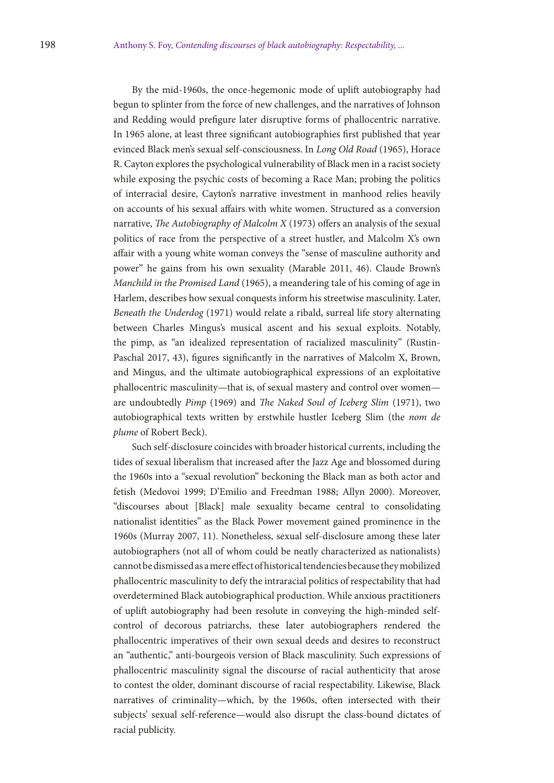By the mid-1960s, the once-hegemonic mode of uplift autobiography had begun to splinter from the force of new challenges, and the narratives of Johnson and Redding would prefigure later disruptive forms of phallocentric narrative. In 1965 alone, at least three significant autobiographies first published that year evinced Black men's sexual self-consciousness. In *Long Old Road* (1965), Horace R. Cayton explores the psychological vulnerability of Black men in a racist society while exposing the psychic costs of becoming a Race Man; probing the politics of interracial desire, Cayton's narrative investment in manhood relies heavily on accounts of his sexual affairs with white women. Structured as a conversion narrative, *The Autobiography of Malcolm X* (1973) offers an analysis of the sexual politics of race from the perspective of a street hustler, and Malcolm X's own affair with a young white woman conveys the "sense of masculine authority and power" he gains from his own sexuality (Marable 2011, 46). Claude Brown's *Manchild in the Promised Land* (1965), a meandering tale of his coming of age in Harlem, describes how sexual conquests inform his streetwise masculinity. Later, *Beneath the Underdog* (1971) would relate a ribald, surreal life story alternating between Charles Mingus's musical ascent and his sexual exploits. Notably, the pimp, as "an idealized representation of racialized masculinity" (Rustin-Paschal 2017, 43), figures significantly in the narratives of Malcolm X, Brown, and Mingus, and the ultimate autobiographical expressions of an exploitative phallocentric masculinity—that is, of sexual mastery and control over women are undoubtedly *Pimp* (1969) and *The Naked Soul of Iceberg Slim* (1971), two autobiographical texts written by erstwhile hustler Iceberg Slim (the *nom de plume* of Robert Beck).

Such self-disclosure coincides with broader historical currents, including the tides of sexual liberalism that increased after the Jazz Age and blossomed during the 1960s into a "sexual revolution" beckoning the Black man as both actor and fetish (Medovoi 1999; D'Emilio and Freedman 1988; Allyn 2000). Moreover, "discourses about [Black] male sexuality became central to consolidating nationalist identities" as the Black Power movement gained prominence in the 1960s (Murray 2007, 11). Nonetheless, sexual self-disclosure among these later autobiographers (not all of whom could be neatly characterized as nationalists) cannot be dismissed as a mere effect of historical tendencies because they mobilized phallocentric masculinity to defy the intraracial politics of respectability that had overdetermined Black autobiographical production. While anxious practitioners of uplift autobiography had been resolute in conveying the high-minded selfcontrol of decorous patriarchs, these later autobiographers rendered the phallocentric imperatives of their own sexual deeds and desires to reconstruct an "authentic," anti-bourgeois version of Black masculinity. Such expressions of phallocentric masculinity signal the discourse of racial authenticity that arose to contest the older, dominant discourse of racial respectability. Likewise, Black narratives of criminality—which, by the 1960s, often intersected with their subjects' sexual self-reference—would also disrupt the class-bound dictates of racial publicity.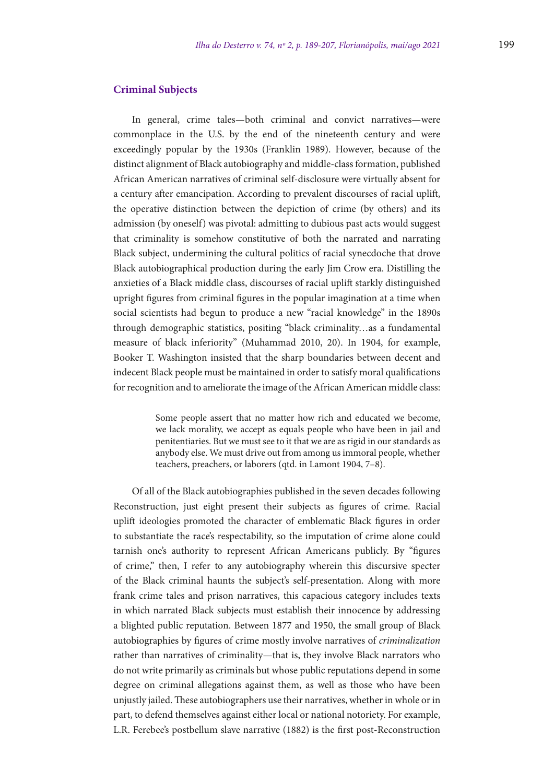In general, crime tales—both criminal and convict narratives—were commonplace in the U.S. by the end of the nineteenth century and were exceedingly popular by the 1930s (Franklin 1989). However, because of the distinct alignment of Black autobiography and middle-class formation, published African American narratives of criminal self-disclosure were virtually absent for a century after emancipation. According to prevalent discourses of racial uplift, the operative distinction between the depiction of crime (by others) and its admission (by oneself) was pivotal: admitting to dubious past acts would suggest that criminality is somehow constitutive of both the narrated and narrating Black subject, undermining the cultural politics of racial synecdoche that drove Black autobiographical production during the early Jim Crow era. Distilling the anxieties of a Black middle class, discourses of racial uplift starkly distinguished upright figures from criminal figures in the popular imagination at a time when social scientists had begun to produce a new "racial knowledge" in the 1890s through demographic statistics, positing "black criminality…as a fundamental measure of black inferiority" (Muhammad 2010, 20). In 1904, for example, Booker T. Washington insisted that the sharp boundaries between decent and indecent Black people must be maintained in order to satisfy moral qualifications for recognition and to ameliorate the image of the African American middle class:

> Some people assert that no matter how rich and educated we become, we lack morality, we accept as equals people who have been in jail and penitentiaries. But we must see to it that we are as rigid in our standards as anybody else. We must drive out from among us immoral people, whether teachers, preachers, or laborers (qtd. in Lamont 1904, 7–8).

Of all of the Black autobiographies published in the seven decades following Reconstruction, just eight present their subjects as figures of crime. Racial uplift ideologies promoted the character of emblematic Black figures in order to substantiate the race's respectability, so the imputation of crime alone could tarnish one's authority to represent African Americans publicly. By "figures of crime," then, I refer to any autobiography wherein this discursive specter of the Black criminal haunts the subject's self-presentation. Along with more frank crime tales and prison narratives, this capacious category includes texts in which narrated Black subjects must establish their innocence by addressing a blighted public reputation. Between 1877 and 1950, the small group of Black autobiographies by figures of crime mostly involve narratives of *criminalization* rather than narratives of criminality—that is, they involve Black narrators who do not write primarily as criminals but whose public reputations depend in some degree on criminal allegations against them, as well as those who have been unjustly jailed. These autobiographers use their narratives, whether in whole or in part, to defend themselves against either local or national notoriety. For example, L.R. Ferebee's postbellum slave narrative (1882) is the first post-Reconstruction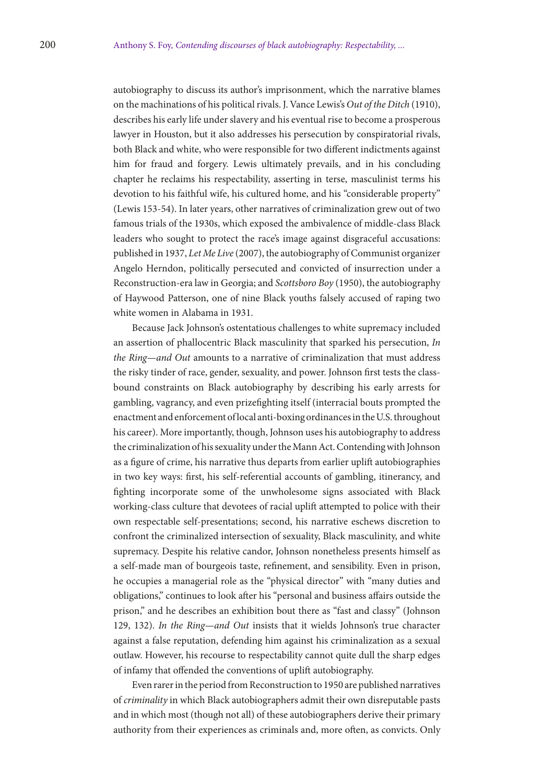autobiography to discuss its author's imprisonment, which the narrative blames on the machinations of his political rivals. J. Vance Lewis's *Out of the Ditch* (1910), describes his early life under slavery and his eventual rise to become a prosperous lawyer in Houston, but it also addresses his persecution by conspiratorial rivals, both Black and white, who were responsible for two different indictments against him for fraud and forgery. Lewis ultimately prevails, and in his concluding chapter he reclaims his respectability, asserting in terse, masculinist terms his devotion to his faithful wife, his cultured home, and his "considerable property" (Lewis 153-54). In later years, other narratives of criminalization grew out of two famous trials of the 1930s, which exposed the ambivalence of middle-class Black leaders who sought to protect the race's image against disgraceful accusations: published in 1937, *Let Me Live* (2007), the autobiography of Communist organizer Angelo Herndon, politically persecuted and convicted of insurrection under a Reconstruction-era law in Georgia; and *Scottsboro Boy* (1950), the autobiography of Haywood Patterson, one of nine Black youths falsely accused of raping two white women in Alabama in 1931.

Because Jack Johnson's ostentatious challenges to white supremacy included an assertion of phallocentric Black masculinity that sparked his persecution, *In the Ring—and Out* amounts to a narrative of criminalization that must address the risky tinder of race, gender, sexuality, and power. Johnson first tests the classbound constraints on Black autobiography by describing his early arrests for gambling, vagrancy, and even prizefighting itself (interracial bouts prompted the enactment and enforcement of local anti-boxing ordinances in the U.S. throughout his career). More importantly, though, Johnson uses his autobiography to address the criminalization of his sexuality under the Mann Act. Contending with Johnson as a figure of crime, his narrative thus departs from earlier uplift autobiographies in two key ways: first, his self-referential accounts of gambling, itinerancy, and fighting incorporate some of the unwholesome signs associated with Black working-class culture that devotees of racial uplift attempted to police with their own respectable self-presentations; second, his narrative eschews discretion to confront the criminalized intersection of sexuality, Black masculinity, and white supremacy. Despite his relative candor, Johnson nonetheless presents himself as a self-made man of bourgeois taste, refinement, and sensibility. Even in prison, he occupies a managerial role as the "physical director" with "many duties and obligations," continues to look after his "personal and business affairs outside the prison," and he describes an exhibition bout there as "fast and classy" (Johnson 129, 132). *In the Ring—and Out* insists that it wields Johnson's true character against a false reputation, defending him against his criminalization as a sexual outlaw. However, his recourse to respectability cannot quite dull the sharp edges of infamy that offended the conventions of uplift autobiography.

Even rarer in the period from Reconstruction to 1950 are published narratives of *criminality* in which Black autobiographers admit their own disreputable pasts and in which most (though not all) of these autobiographers derive their primary authority from their experiences as criminals and, more often, as convicts. Only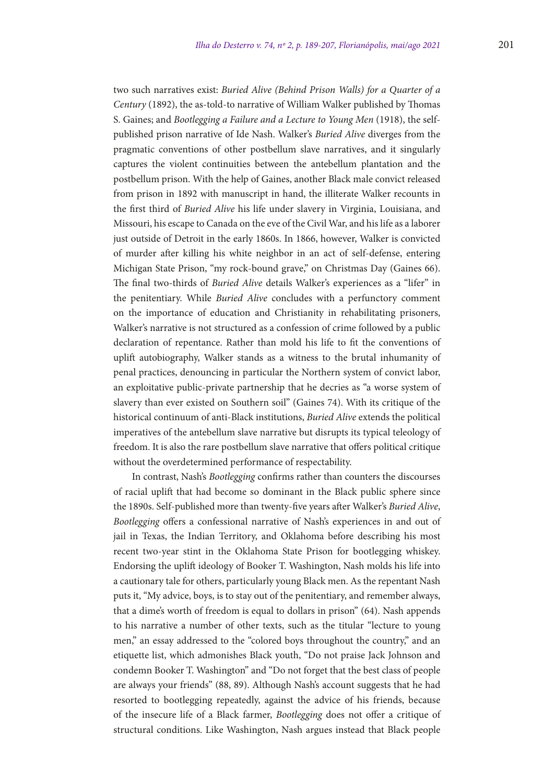two such narratives exist: *Buried Alive (Behind Prison Walls) for a Quarter of a Century* (1892), the as-told-to narrative of William Walker published by Thomas S. Gaines; and *Bootlegging a Failure and a Lecture to Young Men* (1918), the selfpublished prison narrative of Ide Nash. Walker's *Buried Alive* diverges from the pragmatic conventions of other postbellum slave narratives, and it singularly captures the violent continuities between the antebellum plantation and the postbellum prison. With the help of Gaines, another Black male convict released from prison in 1892 with manuscript in hand, the illiterate Walker recounts in the first third of *Buried Alive* his life under slavery in Virginia, Louisiana, and Missouri, his escape to Canada on the eve of the Civil War, and his life as a laborer just outside of Detroit in the early 1860s. In 1866, however, Walker is convicted of murder after killing his white neighbor in an act of self-defense, entering Michigan State Prison, "my rock-bound grave," on Christmas Day (Gaines 66). The final two-thirds of *Buried Alive* details Walker's experiences as a "lifer" in the penitentiary. While *Buried Alive* concludes with a perfunctory comment on the importance of education and Christianity in rehabilitating prisoners, Walker's narrative is not structured as a confession of crime followed by a public declaration of repentance. Rather than mold his life to fit the conventions of uplift autobiography, Walker stands as a witness to the brutal inhumanity of penal practices, denouncing in particular the Northern system of convict labor, an exploitative public-private partnership that he decries as "a worse system of slavery than ever existed on Southern soil" (Gaines 74). With its critique of the historical continuum of anti-Black institutions, *Buried Alive* extends the political imperatives of the antebellum slave narrative but disrupts its typical teleology of freedom. It is also the rare postbellum slave narrative that offers political critique without the overdetermined performance of respectability.

In contrast, Nash's *Bootlegging* confirms rather than counters the discourses of racial uplift that had become so dominant in the Black public sphere since the 1890s. Self-published more than twenty-five years after Walker's *Buried Alive*, *Bootlegging* offers a confessional narrative of Nash's experiences in and out of jail in Texas, the Indian Territory, and Oklahoma before describing his most recent two-year stint in the Oklahoma State Prison for bootlegging whiskey. Endorsing the uplift ideology of Booker T. Washington, Nash molds his life into a cautionary tale for others, particularly young Black men. As the repentant Nash puts it, "My advice, boys, is to stay out of the penitentiary, and remember always, that a dime's worth of freedom is equal to dollars in prison" (64). Nash appends to his narrative a number of other texts, such as the titular "lecture to young men," an essay addressed to the "colored boys throughout the country," and an etiquette list, which admonishes Black youth, "Do not praise Jack Johnson and condemn Booker T. Washington" and "Do not forget that the best class of people are always your friends" (88, 89). Although Nash's account suggests that he had resorted to bootlegging repeatedly, against the advice of his friends, because of the insecure life of a Black farmer, *Bootlegging* does not offer a critique of structural conditions. Like Washington, Nash argues instead that Black people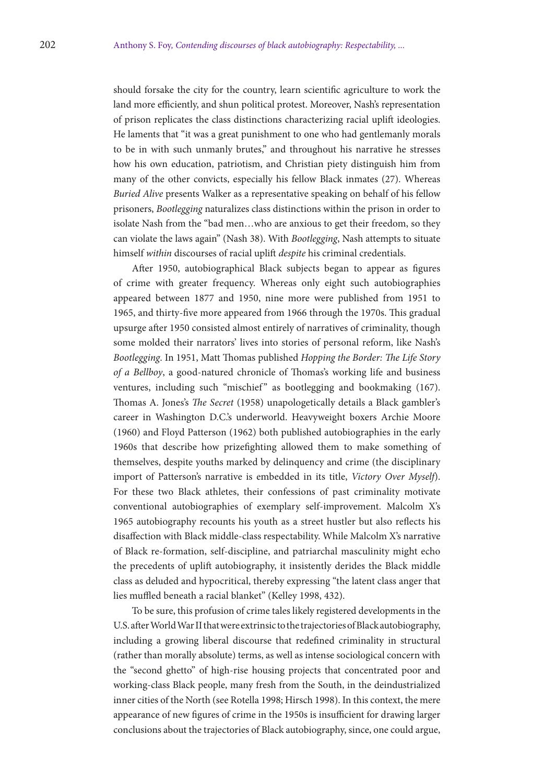should forsake the city for the country, learn scientific agriculture to work the land more efficiently, and shun political protest. Moreover, Nash's representation of prison replicates the class distinctions characterizing racial uplift ideologies. He laments that "it was a great punishment to one who had gentlemanly morals to be in with such unmanly brutes," and throughout his narrative he stresses how his own education, patriotism, and Christian piety distinguish him from many of the other convicts, especially his fellow Black inmates (27). Whereas *Buried Alive* presents Walker as a representative speaking on behalf of his fellow prisoners, *Bootlegging* naturalizes class distinctions within the prison in order to isolate Nash from the "bad men…who are anxious to get their freedom, so they can violate the laws again" (Nash 38). With *Bootlegging*, Nash attempts to situate himself *within* discourses of racial uplift *despite* his criminal credentials.

After 1950, autobiographical Black subjects began to appear as figures of crime with greater frequency. Whereas only eight such autobiographies appeared between 1877 and 1950, nine more were published from 1951 to 1965, and thirty-five more appeared from 1966 through the 1970s. This gradual upsurge after 1950 consisted almost entirely of narratives of criminality, though some molded their narrators' lives into stories of personal reform, like Nash's *Bootlegging*. In 1951, Matt Thomas published *Hopping the Border: The Life Story of a Bellboy*, a good-natured chronicle of Thomas's working life and business ventures, including such "mischief" as bootlegging and bookmaking (167). Thomas A. Jones's *The Secret* (1958) unapologetically details a Black gambler's career in Washington D.C.'s underworld. Heavyweight boxers Archie Moore (1960) and Floyd Patterson (1962) both published autobiographies in the early 1960s that describe how prizefighting allowed them to make something of themselves, despite youths marked by delinquency and crime (the disciplinary import of Patterson's narrative is embedded in its title, *Victory Over Myself*). For these two Black athletes, their confessions of past criminality motivate conventional autobiographies of exemplary self-improvement. Malcolm X's 1965 autobiography recounts his youth as a street hustler but also reflects his disaffection with Black middle-class respectability. While Malcolm X's narrative of Black re-formation, self-discipline, and patriarchal masculinity might echo the precedents of uplift autobiography, it insistently derides the Black middle class as deluded and hypocritical, thereby expressing "the latent class anger that lies muffled beneath a racial blanket" (Kelley 1998, 432).

To be sure, this profusion of crime tales likely registered developments in the U.S. after World War II that were extrinsic to the trajectories of Black autobiography, including a growing liberal discourse that redefined criminality in structural (rather than morally absolute) terms, as well as intense sociological concern with the "second ghetto" of high-rise housing projects that concentrated poor and working-class Black people, many fresh from the South, in the deindustrialized inner cities of the North (see Rotella 1998; Hirsch 1998). In this context, the mere appearance of new figures of crime in the 1950s is insufficient for drawing larger conclusions about the trajectories of Black autobiography, since, one could argue,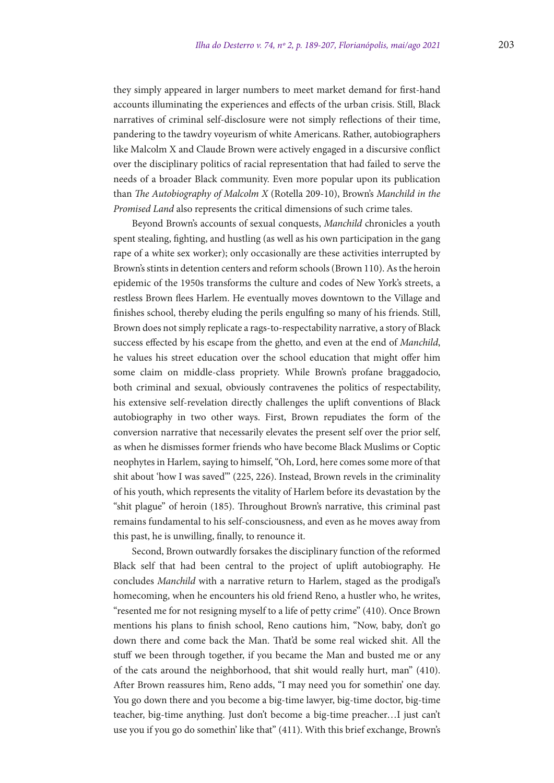they simply appeared in larger numbers to meet market demand for first-hand accounts illuminating the experiences and effects of the urban crisis. Still, Black narratives of criminal self-disclosure were not simply reflections of their time, pandering to the tawdry voyeurism of white Americans. Rather, autobiographers like Malcolm X and Claude Brown were actively engaged in a discursive conflict over the disciplinary politics of racial representation that had failed to serve the needs of a broader Black community. Even more popular upon its publication than *The Autobiography of Malcolm X* (Rotella 209-10), Brown's *Manchild in the Promised Land* also represents the critical dimensions of such crime tales.

Beyond Brown's accounts of sexual conquests, *Manchild* chronicles a youth spent stealing, fighting, and hustling (as well as his own participation in the gang rape of a white sex worker); only occasionally are these activities interrupted by Brown's stints in detention centers and reform schools (Brown 110). As the heroin epidemic of the 1950s transforms the culture and codes of New York's streets, a restless Brown flees Harlem. He eventually moves downtown to the Village and finishes school, thereby eluding the perils engulfing so many of his friends. Still, Brown does not simply replicate a rags-to-respectability narrative, a story of Black success effected by his escape from the ghetto, and even at the end of *Manchild*, he values his street education over the school education that might offer him some claim on middle-class propriety. While Brown's profane braggadocio, both criminal and sexual, obviously contravenes the politics of respectability, his extensive self-revelation directly challenges the uplift conventions of Black autobiography in two other ways. First, Brown repudiates the form of the conversion narrative that necessarily elevates the present self over the prior self, as when he dismisses former friends who have become Black Muslims or Coptic neophytes in Harlem, saying to himself, "Oh, Lord, here comes some more of that shit about 'how I was saved'" (225, 226). Instead, Brown revels in the criminality of his youth, which represents the vitality of Harlem before its devastation by the "shit plague" of heroin (185). Throughout Brown's narrative, this criminal past remains fundamental to his self-consciousness, and even as he moves away from this past, he is unwilling, finally, to renounce it.

Second, Brown outwardly forsakes the disciplinary function of the reformed Black self that had been central to the project of uplift autobiography. He concludes *Manchild* with a narrative return to Harlem, staged as the prodigal's homecoming, when he encounters his old friend Reno, a hustler who, he writes, "resented me for not resigning myself to a life of petty crime" (410). Once Brown mentions his plans to finish school, Reno cautions him, "Now, baby, don't go down there and come back the Man. That'd be some real wicked shit. All the stuff we been through together, if you became the Man and busted me or any of the cats around the neighborhood, that shit would really hurt, man" (410). After Brown reassures him, Reno adds, "I may need you for somethin' one day. You go down there and you become a big-time lawyer, big-time doctor, big-time teacher, big-time anything. Just don't become a big-time preacher…I just can't use you if you go do somethin' like that" (411). With this brief exchange, Brown's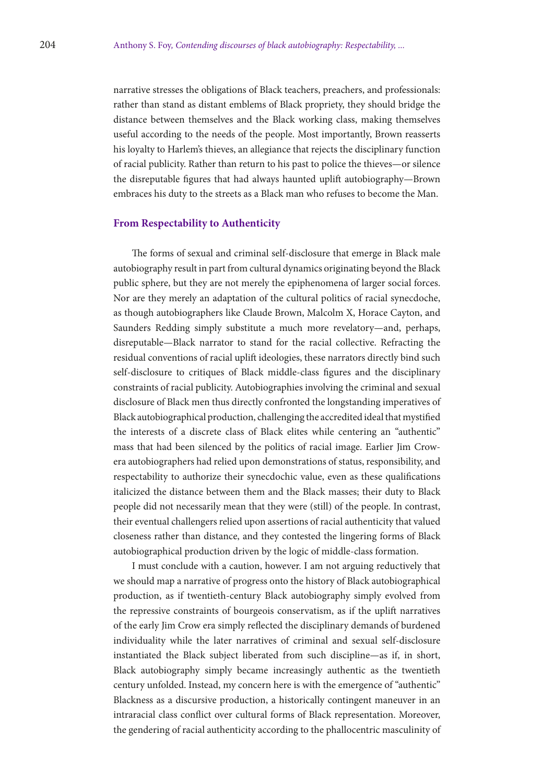narrative stresses the obligations of Black teachers, preachers, and professionals: rather than stand as distant emblems of Black propriety, they should bridge the distance between themselves and the Black working class, making themselves useful according to the needs of the people. Most importantly, Brown reasserts his loyalty to Harlem's thieves, an allegiance that rejects the disciplinary function of racial publicity. Rather than return to his past to police the thieves—or silence the disreputable figures that had always haunted uplift autobiography—Brown embraces his duty to the streets as a Black man who refuses to become the Man.

## **From Respectability to Authenticity**

The forms of sexual and criminal self-disclosure that emerge in Black male autobiography result in part from cultural dynamics originating beyond the Black public sphere, but they are not merely the epiphenomena of larger social forces. Nor are they merely an adaptation of the cultural politics of racial synecdoche, as though autobiographers like Claude Brown, Malcolm X, Horace Cayton, and Saunders Redding simply substitute a much more revelatory—and, perhaps, disreputable—Black narrator to stand for the racial collective. Refracting the residual conventions of racial uplift ideologies, these narrators directly bind such self-disclosure to critiques of Black middle-class figures and the disciplinary constraints of racial publicity. Autobiographies involving the criminal and sexual disclosure of Black men thus directly confronted the longstanding imperatives of Black autobiographical production, challenging the accredited ideal that mystified the interests of a discrete class of Black elites while centering an "authentic" mass that had been silenced by the politics of racial image. Earlier Jim Crowera autobiographers had relied upon demonstrations of status, responsibility, and respectability to authorize their synecdochic value, even as these qualifications italicized the distance between them and the Black masses; their duty to Black people did not necessarily mean that they were (still) of the people. In contrast, their eventual challengers relied upon assertions of racial authenticity that valued closeness rather than distance, and they contested the lingering forms of Black autobiographical production driven by the logic of middle-class formation.

I must conclude with a caution, however. I am not arguing reductively that we should map a narrative of progress onto the history of Black autobiographical production, as if twentieth-century Black autobiography simply evolved from the repressive constraints of bourgeois conservatism, as if the uplift narratives of the early Jim Crow era simply reflected the disciplinary demands of burdened individuality while the later narratives of criminal and sexual self-disclosure instantiated the Black subject liberated from such discipline—as if, in short, Black autobiography simply became increasingly authentic as the twentieth century unfolded. Instead, my concern here is with the emergence of "authentic" Blackness as a discursive production, a historically contingent maneuver in an intraracial class conflict over cultural forms of Black representation. Moreover, the gendering of racial authenticity according to the phallocentric masculinity of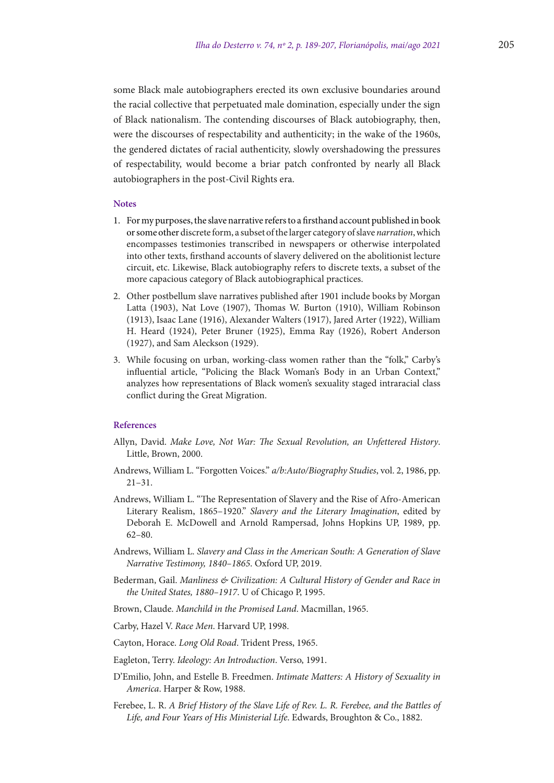some Black male autobiographers erected its own exclusive boundaries around the racial collective that perpetuated male domination, especially under the sign of Black nationalism. The contending discourses of Black autobiography, then, were the discourses of respectability and authenticity; in the wake of the 1960s, the gendered dictates of racial authenticity, slowly overshadowing the pressures of respectability, would become a briar patch confronted by nearly all Black autobiographers in the post-Civil Rights era.

#### **Notes**

- 1. For my purposes, the slave narrative refers to a firsthand account published in book or some other discrete form, a subset of the larger category of slave *narration*, which encompasses testimonies transcribed in newspapers or otherwise interpolated into other texts, firsthand accounts of slavery delivered on the abolitionist lecture circuit, etc. Likewise, Black autobiography refers to discrete texts, a subset of the more capacious category of Black autobiographical practices.
- 2. Other postbellum slave narratives published after 1901 include books by Morgan Latta (1903), Nat Love (1907), Thomas W. Burton (1910), William Robinson (1913), Isaac Lane (1916), Alexander Walters (1917), Jared Arter (1922), William H. Heard (1924), Peter Bruner (1925), Emma Ray (1926), Robert Anderson (1927), and Sam Aleckson (1929).
- 3. While focusing on urban, working-class women rather than the "folk," Carby's influential article, "Policing the Black Woman's Body in an Urban Context," analyzes how representations of Black women's sexuality staged intraracial class conflict during the Great Migration.

## **References**

- Allyn, David. *Make Love, Not War: The Sexual Revolution, an Unfettered History*. Little, Brown, 2000.
- Andrews, William L. "Forgotten Voices." *a/b:Auto/Biography Studies*, vol. 2, 1986, pp. 21–31.
- Andrews, William L. "The Representation of Slavery and the Rise of Afro-American Literary Realism, 1865–1920." *Slavery and the Literary Imagination*, edited by Deborah E. McDowell and Arnold Rampersad, Johns Hopkins UP, 1989, pp. 62–80.
- Andrews, William L. *Slavery and Class in the American South: A Generation of Slave Narrative Testimony, 1840–1865*. Oxford UP, 2019.
- Bederman, Gail. *Manliness & Civilization: A Cultural History of Gender and Race in the United States, 1880–1917*. U of Chicago P, 1995.
- Brown, Claude. *Manchild in the Promised Land*. Macmillan, 1965.
- Carby, Hazel V. *Race Men*. Harvard UP, 1998.
- Cayton, Horace. *Long Old Road*. Trident Press, 1965.
- Eagleton, Terry. *Ideology: An Introduction*. Verso, 1991.
- D'Emilio, John, and Estelle B. Freedmen. *Intimate Matters: A History of Sexuality in America*. Harper & Row, 1988.
- Ferebee, L. R. *A Brief History of the Slave Life of Rev. L. R. Ferebee, and the Battles of Life, and Four Years of His Ministerial Life*. Edwards, Broughton & Co., 1882.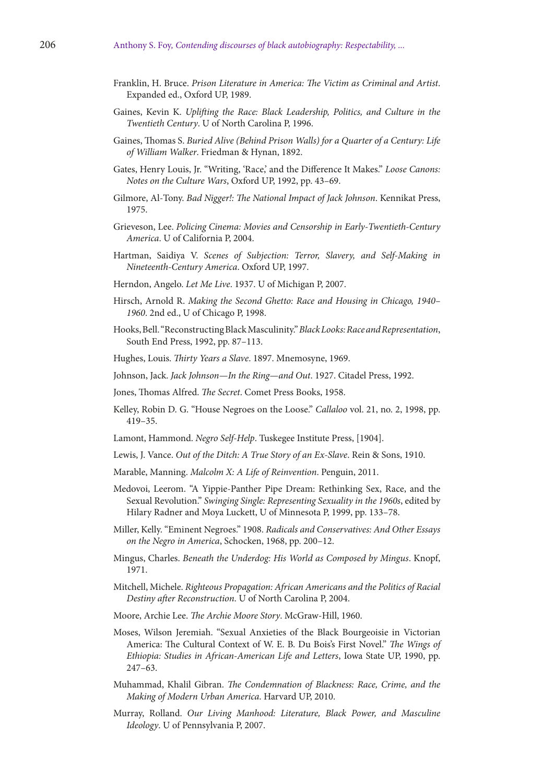- Franklin, H. Bruce. *Prison Literature in America: The Victim as Criminal and Artist*. Expanded ed., Oxford UP, 1989.
- Gaines, Kevin K. *Uplifting the Race: Black Leadership, Politics, and Culture in the Twentieth Century*. U of North Carolina P, 1996.
- Gaines, Thomas S. *Buried Alive (Behind Prison Walls) for a Quarter of a Century: Life of William Walker*. Friedman & Hynan, 1892.
- Gates, Henry Louis, Jr. "Writing, 'Race,' and the Difference It Makes." *Loose Canons: Notes on the Culture Wars*, Oxford UP, 1992, pp. 43–69.
- Gilmore, Al-Tony. *Bad Nigger!: The National Impact of Jack Johnson*. Kennikat Press, 1975.
- Grieveson, Lee. *Policing Cinema: Movies and Censorship in Early-Twentieth-Century America*. U of California P, 2004.
- Hartman, Saidiya V. *Scenes of Subjection: Terror, Slavery, and Self-Making in Nineteenth-Century America*. Oxford UP, 1997.
- Herndon, Angelo. *Let Me Live*. 1937. U of Michigan P, 2007.
- Hirsch, Arnold R. *Making the Second Ghetto: Race and Housing in Chicago, 1940– 1960*. 2nd ed., U of Chicago P, 1998.
- Hooks, Bell. "Reconstructing Black Masculinity." *Black Looks: Race and Representation*, South End Press, 1992, pp. 87–113.
- Hughes, Louis. *Thirty Years a Slave*. 1897. Mnemosyne, 1969.
- Johnson, Jack. *Jack Johnson—In the Ring—and Out*. 1927. Citadel Press, 1992.
- Jones, Thomas Alfred. *The Secret*. Comet Press Books, 1958.
- Kelley, Robin D. G. "House Negroes on the Loose." *Callaloo* vol. 21, no. 2, 1998, pp. 419–35.
- Lamont, Hammond. *Negro Self-Help*. Tuskegee Institute Press, [1904].
- Lewis, J. Vance. *Out of the Ditch: A True Story of an Ex-Slave*. Rein & Sons, 1910.
- Marable, Manning. *Malcolm X: A Life of Reinvention*. Penguin, 2011.
- Medovoi, Leerom. "A Yippie-Panther Pipe Dream: Rethinking Sex, Race, and the Sexual Revolution." *Swinging Single: Representing Sexuality in the 1960s*, edited by Hilary Radner and Moya Luckett, U of Minnesota P, 1999, pp. 133–78.
- Miller, Kelly. "Eminent Negroes." 1908. *Radicals and Conservatives: And Other Essays on the Negro in America*, Schocken, 1968, pp. 200–12.
- Mingus, Charles. *Beneath the Underdog: His World as Composed by Mingus*. Knopf, 1971.
- Mitchell, Michele. *Righteous Propagation: African Americans and the Politics of Racial Destiny after Reconstruction*. U of North Carolina P, 2004.
- Moore, Archie Lee. *The Archie Moore Story*. McGraw-Hill, 1960.
- Moses, Wilson Jeremiah. "Sexual Anxieties of the Black Bourgeoisie in Victorian America: The Cultural Context of W. E. B. Du Bois's First Novel." *The Wings of Ethiopia: Studies in African-American Life and Letters*, Iowa State UP, 1990, pp. 247–63.
- Muhammad, Khalil Gibran. *The Condemnation of Blackness: Race, Crime, and the Making of Modern Urban America*. Harvard UP, 2010.
- Murray, Rolland. *Our Living Manhood: Literature, Black Power, and Masculine Ideology*. U of Pennsylvania P, 2007.